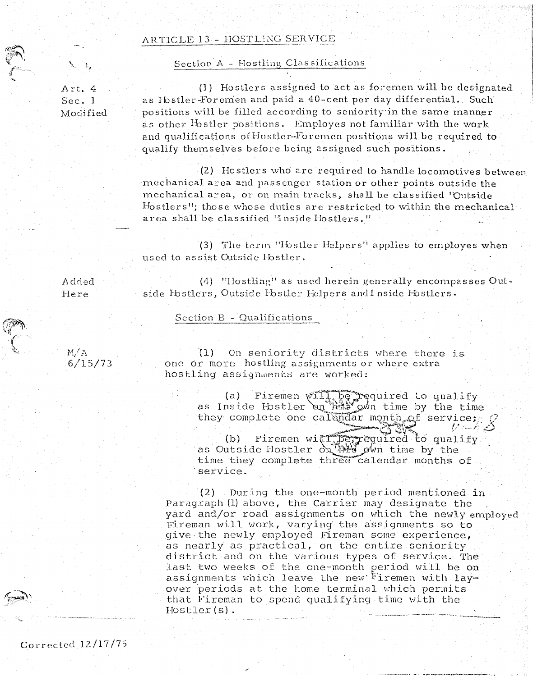#### ARTICLE 13 - HOSTLING SERVICE

#### Section A - Hostling Classifications

Art. 4 Sec. 1 Modified

 $\mathbf{x}_i = \mathbf{x}_i$ 

 $\frac{1}{\sqrt{2}}$ 

(1) Hostlers assigned to act as forernen will be designated as Ibstler-Foremen and paid a 40-cent per day differential. Such positions will be filled according to seniority in the same manner as other <sup>I</sup>bstler positions. Employes not familiar with the work and qualifications of Hostler-Foremen positions will be required to qualify themselves before being assigned such positions.

· (2) Hostlers \vho arc required to handle loco1notives between mechanical area and passenger station or other points outside the mechanical area, or on main tracks, shall be classified 'Outside Hostlers"; those whose duties are restricted to within the mechanical area shall be classified 'Inside Hostlers."

(3) The term "Hostler Helpers" applies to employes when used to assist Outside Hostler.

Added Here

(4) "Hostling" as used herein generally encompasses Outside Ibstlers, Outside Ibstler Helpers and I nside Hostlers.

### Section B - Qualifications

*t-1/A*  6/15/73

{1) On seniority districts where there is one or more hostling assignments or where extra hostling assignments are worked:

> (a) Firemen will be required to qualify<br>as Inside Hostler on the own time by the time they complete one calendar month of service;

2.31. (b) Firemen with perrequired to qualify<br>as Outside Hostler on the own time by the time they complete three calendar months of service.

 $(2)$  During the one-month period mentioned in Paragraph (1) above, the Carrier may designate the yard and/or road assignments on which the newly employed Fireman will work, varying the assignments so to give the newly employed Fireman some experience, as nearly as practical, on the entire seniority district and on the various types of service. The last two weeks of the one-month period will be on assignments which leave the new Firemen with layover periods at the home terminal which permits that Fireman to spend qualifying time with the Hostler(s).

Corrected 12/17/7S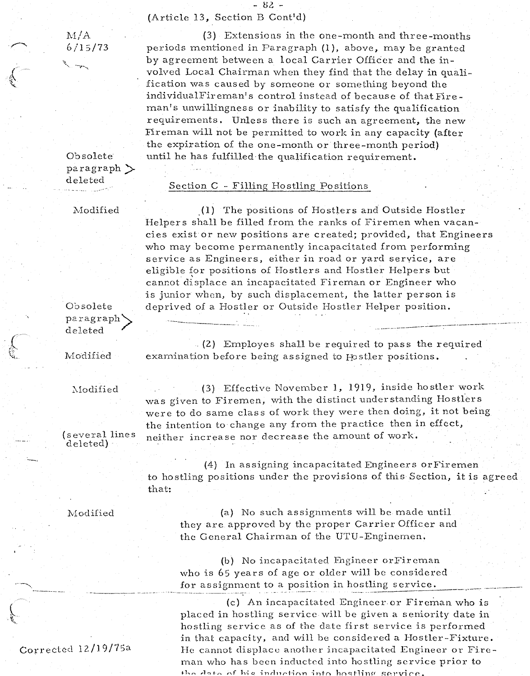- 02 -

(Article 13, Section B Cont'd)

 $M/A$ b/15/73

periods mentioned in Paragraph {l), above, may be granted by agreement between a local Carrier Officer and the involved Local Chairman when they find that the delay in qualification was caused by someone or something beyond the individualFireman's control instead of because of that Fireman's unwillingness or inability to satisfy the qualification requirements. Unless there is such an agreement, the new Tireman will not be pennitted to work in any capacity (after the expiration of the one-month or three-month period) until he has fulfilled-the qualification requirement.

 $(3)$  Extensions in the one-month and three-months

Obsolete paragraph> deleted

# Section C - Filling Hostling Positions

Modified

\_(1) The positions of Hostlers and Outside Hostler Helpers shall be filled from the ranks of Firemen when vacancies exist or new positions are created; provided, that Engineers who may become permanently incapacitated from performing service as Engineers, either in road or yard seryice, are eligible for positions of Hostlers and Hostler Helpers but cannot displace an incapacitated Fireman or Engineer who is junior when, by such displacement, the latter person is deprived of a Hostler or Outside Hostler Helper position.

Oosolete paragraph> deleted

Modified

. (2) Employes shall be required to pass the required examination before being assigned to Hostler positions.

--------- - -------~- ---~- -~--- --- ----·-- ..

Modified

(several lines deleted)

 $(3)$  Effective November 1, 1919, inside hostler work was given to Firemen, with the distinct understanding Hostlers were to do same class of work they were then doing, it not being the intention to change any from the practice then in effect, neither increase nor decrease the amount of work.

(4) In assigning incapacitated Engineers orFiremen to hostling positions under the provisions of this Section, it is agreed that:

l'v1odified

(a) No such assignments will be made until they are approved by the proper Carrier Officer and the General Chairman of the UTU -Enginemen.

(b) No incapacitated Engineer or Fireman who is 65 years of age or older will be considered for assignment to a position in hostling service.

(c) An incapacitated Engineer or Fireman. who is placed in hostling service will be given a seniority date in hostling service as of the date first service is performed in that capacity, and will be considered a Hostler-Fixture. He cannot displace another incapacitated Engineer or Fireman who has been inducted into hostling service prior to  $\mathbf{r}$  description industion into heatling counter

Corrected 12/19/75a

 $\overline{\phantom{a}}$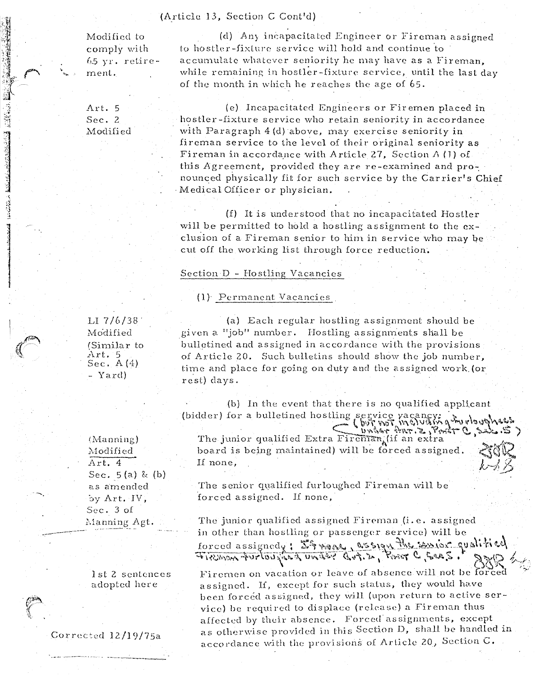#### (Article 13, Section C Cont'd)

Modified to comply with  $65$  yr. retirement.

(d) Any incapacitated Engineer or Fireman assigned to hostler-fixture service will hold and continue to accumulate whatever seniority he may have as a Fireman, while remaining in hostler-fixture service, until the last day of the month in which he reaches the age of 65.

Art. 5 Sec. 2 Modified

(e) Incapacitated Engineers or Firemen placed in hostler-fixture service who retain seniority in accordance with Paragraph 4 (d) above, may exercise seniority in fireman service to the level of their original seniority as Fireman in accordance with Article 27, Section  $\Lambda$  (1) of this Agreement, provided they are re-examined and pronounced physically fit for such service by the Carrier's Chief Medical Officer or physician.

(f) It is understood that no incapacitated Hostler will be permitted to hold a hostling assignment to the exclusion of a Fireman senior to him in service who may be cut off the working list through force reduction.

#### Section D - Hostling Vacancies

#### (1) Permanent Vacancies

LI  $7/6/38$ Modified (Similar to Art. 5<br>Sec. A (4) - Yard)

 $(Manning)$ Modified Art. 4 Sec.  $5(a)$  & (b) as amended by Art. IV, Sec. 3 of Manning Agt.

1st 2 sentences adopted here

Corrected 12/19/75a

(a) Each regular hostling assignment should be given a "job" number. Hostling assignments shall be bulletined and assigned in accordance with the provisions of Article 20. Such bulletins should show the job number, time and place for going on duty and the assigned work (or rest) days.

(b) In the event that there is no qualified applicant

(bidder) for a bulletined hostling service vacancy;<br>(by wor melvays a melvays and puppes.) board is being maintained) will be forced assigned. If none,

The senior qualified furloughed Fireman will be forced assigned. If none,

The junior qualified assigned Fireman (i.e. assigned in other than hostling or passenger service) will be forced assignedy: Shrang assign the senior qualitied

Firemen on vacation or leave of absence will not be forced assigned. If, except for such status, they would have been forced assigned, they will (upon return to active service) be required to displace (release) a Fireman thus affected by their absence. Forced assignments, except as otherwise provided in this Section D, shall be handled in accordance with the provisions of Article 20, Section C.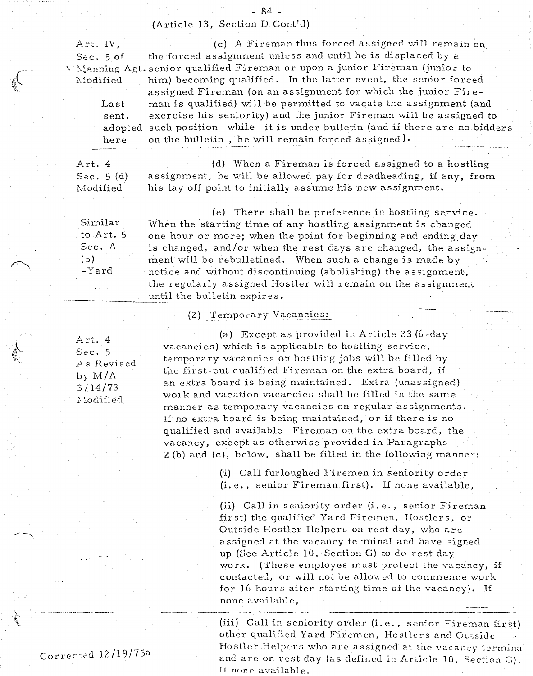{Article 13, Section D Cont'd)

- 84 -

Art. IV, (c) A Fireman thus forced assigned will remain on

Last sent. here

Sec. 5 of the forced assignment unless and until he is displaced by a I Manning Agt. senior qualified Fireman or upon a junior Fireman (junior to Modified him) becoming qualified. In the latter event, the senior forced adopted such position while it is under bulletin (and if there are no bidders assigned Fireman (on an assignment for which the junior Fireman is qualified) will be permitted to vacate the assignment (and exercise his seniority) and the junior Fireman will be assigned to on the bulletin, he will remain forced assigned).

Art. 4 Sec. 5(d) Modified

(d) When a Fireman is forced as signed to a hostling assignment, he will be allowed pay for deadheading, if any, from his lay off point to initially assume his new assignment.

Similar to Art. 5 Sec. A  $(5)$ -Yard

{e) There shall be preference in hostling service. When the starting time of any hostling assignment is changed one hour or more; when the point for beginning and ending day is changed, and/or when the rest days are changed, the assignment will be rebulletined. When such a change is made by notice and without discontinuing (abolishing) the assignment, the regularly assigned Hostler will remain on the assignment until the bulletin expires.

# (2} Temporary Vacancies:

Art. 4 Sec. 5 As Revised by M/A 3/14/73 Modified

(a) Except as provided in Article 23  $(6$ -day vacancies) which is applicable to hostling service, temporary vacancies on hostling jobs will be filled by the first-out qualified Firernan on the extra board, if an extra board is being maintained. Extra (unassigned) work and vacation vacancies shall be filled in the same manner as temporary vacancies on regular assignments. If no extra board is being maintained, or if there is no qualified and available Fireman on the extra board, the vacancy, except as otherwise provided in Paragraphs 2 (b) and (c), below, shall be filled in the following manner:

> (i) Call furloughed Firemen in seniority order (i.e., senior Fireman first). If none available,

(ii) Call in seniority order (i.e., senior Fireman first) the qualified Yard Firemen, Hostlers, or Outside Hostler Helpers on rest day, who are assigned at the vacancy terminal and have signed up (See Article 10, Section G) to do rest day work. (These employes must protect the vacancy, if contacted, or will not be allowed to commence work for 16 hours after starting time of the vacancy). If none available,

(iii) Call in seniority order (i.e., senior Fireman first) other qualified Yard Firemen, Hostlers and Outside Hostler Helpers who are assigned at the vacancy termina] and are on rest day (as defined in Article 10, Section G). If none available.  $\blacksquare$ 

Corrcc:ed 12/l9/75a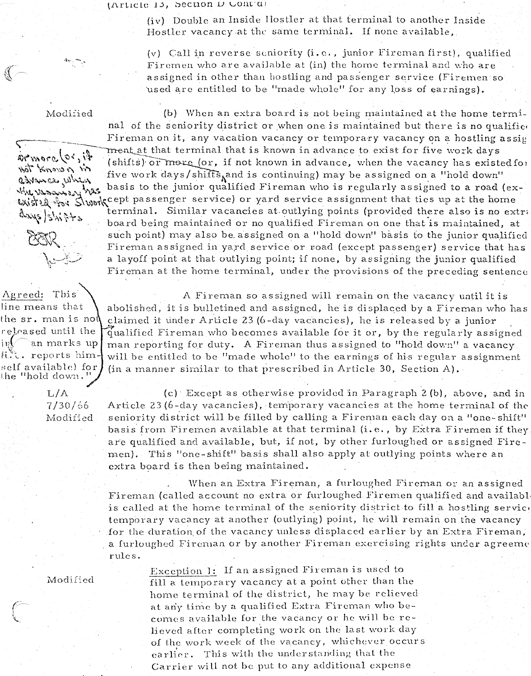(Article 15, Section D Cont'd)

(iv) Double an Inside Hostler at that terminal to another Inside Hostler vacancy at the same terminal. If none available,

(v) Call in reverse seniority (i.e., junior Fireman first), qualified Firemen who are available at (in) the home terminal and who are assigned in other than hostling and passenger service (Firemen so used are entitled to be "made whole" for any loss of earnings).

Modified

more (or, it

Mat Knows of in

astence when

days shigts

Agreed: This

line means that

the "hold down $\Box$ 

 $L/A$ 

jnV

《

(b) When an extra board is not being maintained at the home terminal of the seniority district or when one is maintained but there is no qualified Fireman on it, any vacation vacancy or temporary vacancy on a hostling assig ment at that terminal that is known in advance to exist for five work days (shifts) or more (or, if not known in advance, when the vacancy has existed for five work days/shifts and is continuing) may be assigned on a "hold down" basis to the junior qualified Fireman who is regularly assigned to a road (ex-وكالمكراكم يدرد ومعتصر والملام بالأكمام wish if work cept passenger service) or yard service assignment that ties up at the home

terminal. Similar vacancies at outlying points (provided there also is no extra board being maintained or no qualified Fireman on one that is maintained, at such point) may also be assigned on a "hold down" basis to the junior qualified Fireman assigned in yard service or road (except passenger) service that has a layoff point at that outlying point; if none, by assigning the junior qualified Fireman at the home terminal, under the provisions of the preceding sentence

A Fireman so assigned will remain on the vacancy until it is abolished, it is bulletined and assigned, he is displaced by a Fireman who has the  $sr.$  man is no $\mathfrak h$ claimed it under Article 23 (6-day vacancies), he is released by a junior released until the qualified Fireman who becomes available for it or, by the regularly assigned `an marks up man reporting for duty. A Fireman thus assigned to "hold down" a vacancy fi."t. reports himwill be entitled to be "made whole" to the earnings of his regular assignment  $\operatorname{self}$  available) for (in a manner similar to that prescribed in Article 30, Section A).

(c) Except as otherwise provided in Paragraph 2 (b), above, and in  $7/30/66$ Article 23 (6-day vacancies), temporary vacancies at the home terminal of the seniority district will be filled by calling a Fireman each day on a "one-shift" Modified basis from Firemen available at that terminal (i.e., by Extra Firemen if they are qualified and available, but, if not, by other furloughed or assigned Firemen). This "one-shift" basis shall also apply at outlying points where an extra board is then being maintained.

> When an Extra Fireman, a furloughed Fireman or an assigned Fireman (called account no extra or furloughed Firemen qualified and availabl is called at the home terminal of the seniority district to fill a hostling service temporary vacancy at another (outlying) point, he will remain on the vacancy for the duration of the vacancy unless displaced earlier by an Extra Fireman, a furloughed Fireman or by another Fireman exercising rights under agreeme rules.

Modified

Exception 1: If an assigned Fireman is used to fill a temporary vacancy at a point other than the home terminal of the district, he may be relieved at any time by a qualified Extra Fireman who becomes available for the vacancy or he will be relieved after completing work on the last work day of the work week of the vacancy, whichever occurs earlier. This with the understanding that the Carrier will not be put to any additional expense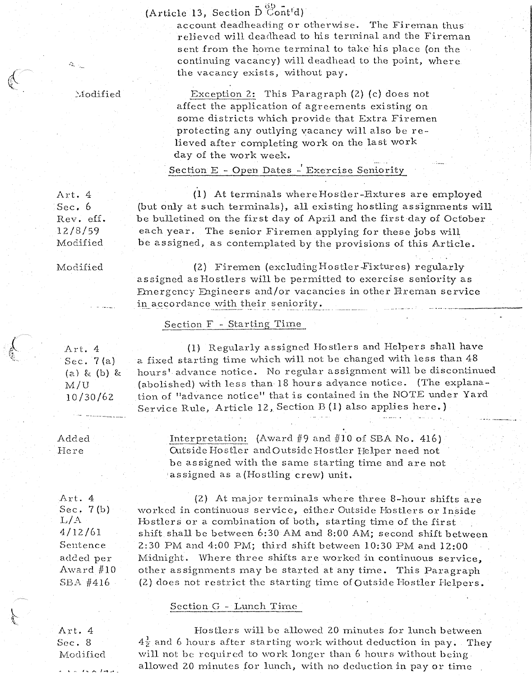(Article 13, Section  $\bar{D}^{00}_{\text{Cont}}$ <sup>1</sup>d)

account deadheading or otherwise. The Fireman thus relieved will deadhead to his terminal and the Fireman sent from the home terminal to take his place (on the continuing vacancy) will deadhead to the point, where the vacancy exists, without pay.

 $\mathbb N$ odified

Exception 2: This Paragraph (2) (c) does not affect the application of agreements existing on some districts which provide that Extra Firemen protecting any outlying vacancy will also be relieved after completing work on the last work day of the work week.

Section E - Open Dates - Exercise Seniority

(1) At terminals where Hostler-Fixtures are employed (but only at such terminals), all existing hostling assignments will be bulletined on the first day of April and the first day of October each year. The senior Firemen applying for these jobs will be assigned, as contemplated by the provisions of this Article.

Modified

{2) Firemen (excludingHostler-Fixturcs) regularly assigned as Hostlers will be permitted to exercise seniority as Bnergcncy Engineers and/or vacancies in other Fireman service in accordance with their seniority.

#### Section F - Starting Time

Art. <sup>4</sup> Sec. 7 (a) *(cd* &: (b) &: M/U 10/30/62

(l) Regularly assigned Hostlers and Helpers shall have a fixed starting time which will not be changed with less than 48 hours' advance notice. No regular assignment will be discontinued (abolished) with less than 18 hours advance notice. (The explanation of "advance notice" that is contained in the NOTE under Yard Service Rule, Article 12, Section B (l) also applies here.)

Added ·Here

Interpretation: (Award #9 and #10 of SBA No. 416) Outside Hostler and Outside Hostler Helper need not be assigned with the same starting time and are not assigned as a (Hostling crew) unit.

Art. 4 Sec. 7 (b)  $L/A$ 4/12/61 Sentence added per Award  $#10$  $SBA$  #416

 $(2)$  At major terminals where three 8-hour shifts are worked in continuous service, either Outside Hostlers or Inside Hostlers or a combination of both, starting time of the first shift shall be between 6:30AM and 8:00AM; second shift between 2:30PM and 4:00PM; third shift between 10:30 PM and 12:00 Midnight. Where three shifts are worked in continuous service, other as signments may be started at any time. This Paragraph  $(2)$  does not restrict the starting time of Outside Hostler Helpers.

#### Section G - Lunch Tirnc

Art. 4 Sec. 8 Modified

. **.. . . . . . .** 

Hostlers will be allowed 20 minutes for lunch between  $4\frac{1}{2}$  and 6 hours after starting work without deduction in pay. They will not be required to work longer than 6 hours without being allowed 20 minutes for lunch, with no deduction in pay or time

Sec. 6 Rev. ef£. 12/8/59 Modified

Art. 4

 $\mathcal{L}^{\lambda}_{\mathbf{a}_{\mathbf{b}}\rightarrow \mathcal{L}_{\mathbf{a}\mathbf{a}}}$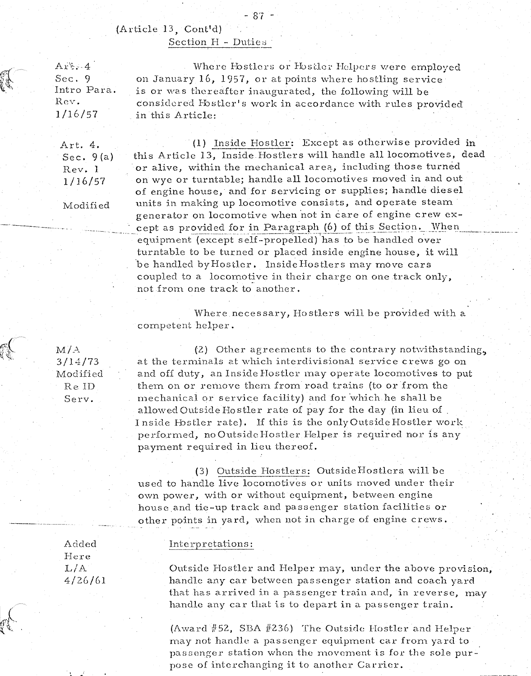# (Article 13, Cont'd) Section H - Duties

 $A_1$ ;... 4 Sec. 9 Intro Para. Rev. 1/16/57

> Art. 4. Sec. 9 (a) Rev. 1 1/16/57

Modified

-----

Where Hostlers or Hostler Helpers were employed<br>on January 16, 1957, or at points where hostling service is or was thereafter inaugurated, the following will be considered Hostler's work in accordance with rules provided in this Article:

- 87 -

(1) Inside Hostler: Except as otherwise provided in this Article 13, Inside Hostlers will handle all locomotives, dead or alive, within the mechanical area, including those turned on wyc or turntable; handle all locomotives moved in and out of engine house, and for servicing or supplies; handle diesel units in making up locomotive consists, and operate steam generator on locomotive when not in care of engine crew except as provided for in Paragraph (6) of this Section. When .. equipment (except self-propelled) has to be handled over turntable to be turned or placed inside engine house, it will be handled by Hostler. Inside Hostlers may move cars coupled to a locomotive in their charge on one track only, not from one track to another.

Where necessary, Hostlers will be provided with a competent helper.

 $M/A$ 3/14/73 Modified ReID Serv.

(2) Other agreements to the contrary notwithstanding. at the terminals at which interdivisional service crews go on and off duty, an Inside Hostler may operate locomotives to put them on or remove them from road trains (to or from the mechanical or service facility) and for which he shall be allowed Outside Hostler rate of pay for the day (in lieu of Inside Hostler rate). If this is the only Outside Hostler work performed, no Outside Hostler Helper is required nor is any payment required in lieu thereof.

(3) Outside Hostlers: OutsideHostlcrs. will be used to handle live locomotives or units moved under their own power, with or without equipment, between engine house and tie-up track and passenger station facilities or other points in yard, when not in charge of engine crews.

Added Here  $L/A$ 4/26/61

#### Interpretations:

Outside Hostler and Helper may, under the above provision, handle any car between passenger station and coach yard that has arrived in a passenger train and, in reverse, may handle any car that is to depart in a passenger train.

(Award #52, SBA #236) The Outside Hostler and Helper may not handle a passenger equipment car from yard to passenger station when the movement is for the sole purpose of interchanging it to another Carrier.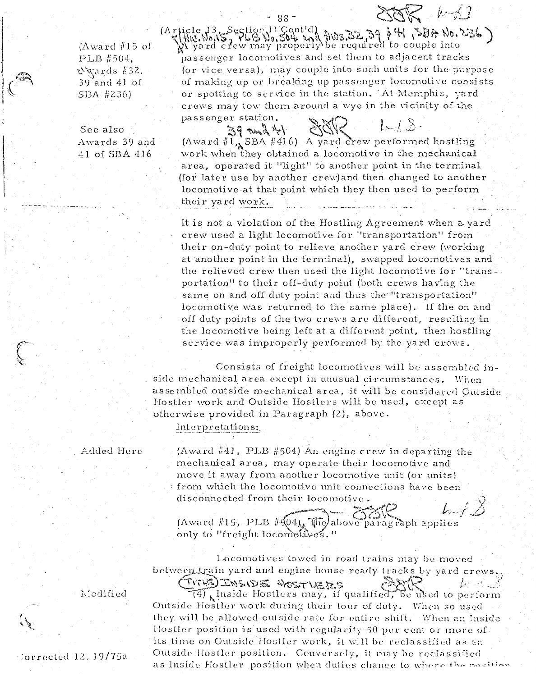(Award #15 of PLB #504, Nurds #32. 39'and 41 of SBA #236)

See also Awards 39 and 41 of SBA 416

(Au). World Section 11 Gont'd) Aw3.32, 39 p 4 50A No. 236)<br>(Au). World, PLB No. 30th and Aw3.32, 39 p 4 50A No. 236)<br>N yard crew may properly be required to couple into passenger locomotives and set them to adjacent tracks (or vice versa), may couple into such units for the purpose of making up or breaking up passenger locomotive consists or spotting to service in the station. At Memphis, yard crews may tow them around a wye in the vicinity of the passenger station.

 $-88-$ 

 $38<sup>2</sup>$  /  $-42$ 

 $L, I, S$ .  $44$  pm  $85$ (Award  $\|\tilde{1}_A$ SBA #416) A yard crew performed hostling work when they obtained a locomotive in the mechanical area, operated it "light" to another point in the terminal (for later use by another crew) and then changed to another locomotive at that point which they then used to perform their yard work.

It is not a violation of the Hostling Agreement when a yard crew used a light locomotive for "transportation" from their on-duty point to relieve another yard crew (working at another point in the terminal), swapped locomotives and the relieved crew then used the light locomotive for "transportation" to their off-duty point (both crews having the same on and off duty point and thus the "transportation" locomotive was returned to the same place). If the on and off duty points of the two crews are different, resulting in the locomotive being left at a different point, then hostling service was improperly performed by the yard crews.

Consists of freight locomotives will be assembled inside mechanical area except in unusual circumstances. When assembled outside mechanical area, it will be considered Outside Hostler work and Outside Hostlers will be used, except as otherwise provided in Paragraph (2), above.

Interpretations:

Added Here

(Award #41, PLB #504) An engine crew in departing the mechanical area, may operate their locomotive and move it away from another locomotive unit (or units) from which the locomotive unit connections have been disconnected from their locomotive.  $L \neq \emptyset$ 

(Award #15, PLB  $\|\sqrt[n]{04}_k\sqrt[n]{\pi}$ above paragraph applies only to "freight locomotives."

Locomotives towed in road trains may be moved between train yard and engine house ready tracks by yard crews.

TITHE THE WESTLETES  $L \cdot A \cdot A$ (4) Inside Hostlers may, if qualified, be used to perform Outside Hostler work during their tour of duty. When so used they will be allowed outside rate for entire shift. When an Inside Hostler position is used with regularity 50 per cent or more of. its time on Outside Hostler work, it will be reclassified as an Outside Hostler position. Conversely, it may be reclassified as Inside Hostler position when duties change to where the position

Modified

Sorrected 12/19/75a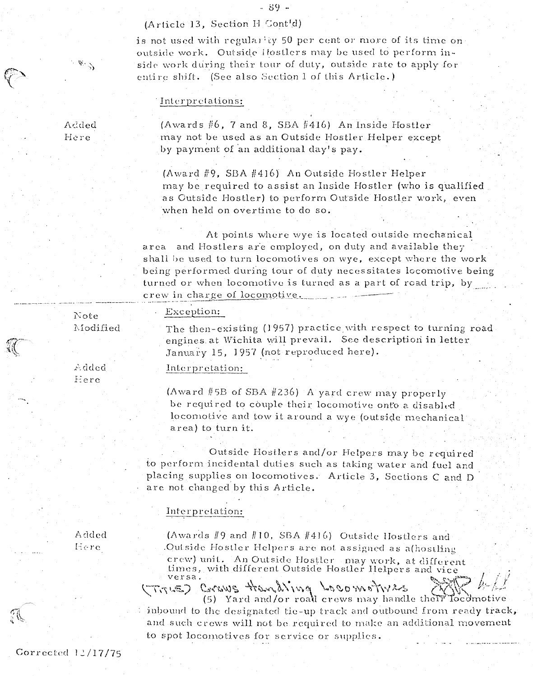# (Article 13, Section H Cont'd)

is not used with regularity 50 per cent or more of its time on outside work. Outside Hostlers may be used to perform inside work during their tour of duty, outside rate to apply for entire shift. (See also Section 1 of this Article.)

## Interpretations:

Added Here

 $\mathscr{C}^{\mathscr{G}}$ 

(Awards  $#6$ , 7 and 8, SBA  $#416$ ) An Inside Hostler may not be used as an Outside Hostler Helper except by payment of an additional day's pay.

(Award #9, SBA #416) An Outside Hostler Helper may be required to assist an Inside Hostler (who is qualified as Cutside Hostler) to perform Outside Hostler work, even when held on overtime to do so.

At points where wye is located outside mechanical and Hostlers are employed, on duty and available they area shall be used to turn locomotives on wye, except where the work being performed during tour of duty necessitates locomotive being turned or when locomotive is turned as a part of road trip, by crew in charge of locomotive.

The then-existing (1957) practice with respect to turning road. engines at Wichita will prevail. See description in letter

Note Modified

Added

Here

Interpretation:

Exception:

(Award #5B of SBA #236) A yard crew may properly be required to couple their locomotive onto a disabled locomotive and tow it around a wye (outside mechanical area) to turn it.

January 15, 1957 (not reproduced here).

Outside Hostlers and/or Helpers may be required to perform incidental duties such as taking water and fuel and placing supplies on locomotives. Article 3, Sections C and D are not changed by this Article.

#### Interpretation:

Added Here

(Awards #9 and #10, SBA #416) Outside Hostlers and Outside Hostler Helpers are not assigned as a<br>(hostling crew) unit. An Outside Hostler may work, at different times, with different Outside Hostler Helpers and vice versa.

GRAVING HOWS HOW LOOM THILE

(5) Yard and/or roal crews may handle there Tocdr inbound to the designated tie-up track and outbound from ready track, and such crews will not be required to make an additional movement to spot locomotives for service or supplies.

Corrected  $12/17/75$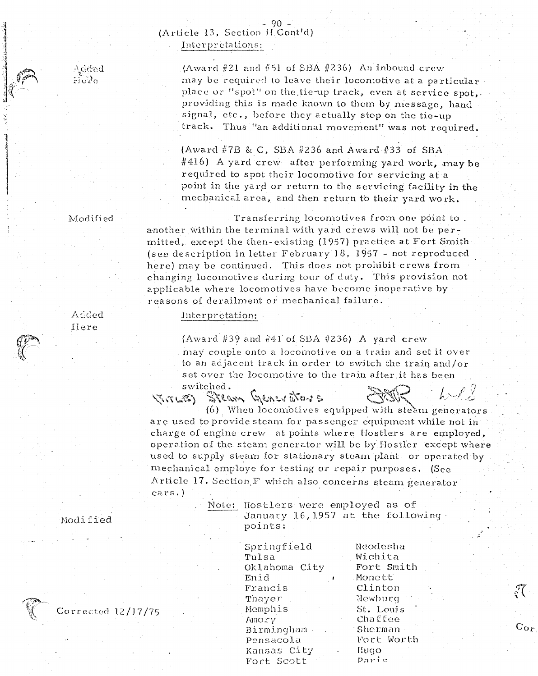# $-90$  -<br>(Article 13, Section J. Cont'd) Interpretations:

 $(Award #21 and #51 of SBA #236)$  An inbound crew may be required to leave their locomotive at a particular place or "spot" on the tie-up track, even at service spot,. providing this is made known to them by message, hand signal, etc., before they actually stop on the tie~up track. Thus "an additional movement" was not required.

(Award #7B & C, SBA #236 and Award #33 of SBA #416) A yard crew after performing yard work, may be required to spot their locomotive for servicing at a point in the yard or return to the servicing facility in the mechanical area, and then return to their yard work.

Modified

Transferring locomotives from one point to. another within the terminal with yard crews will not be permitted, except the then-existing (1957) practice at Fort Smith (see description in letter February 18, 1957 - not reproduced here) may be continued. This does not prohibit crews from changing locomotives during tour of duty. This provision not applicable where locomotives have become inoperative by reasons of derailment or mechanical failure.

#### Interpretation:

(Award #39 and #41 of SBA #236) A yard crew may couple onto a locomotive on a train and set it over to an adjacent track in order to switch the train and/or set over the locomotive to the train after it has been

Switched.<br>Steam Generators

(6) When locomotives equipped with steam generators are used to provide steam for passenger equipment while not in charge of engine crew at points where Hostlers are employed, operation of the steam generator will be by Hostler except where used to supply steam for stationary steam plant or operated by mechanical employe for testing or repair purposes. (See Article 17, Section  $F$  which also concerns steam generator cars. )

> Note: Hostlers were employed as of January 16,1957 at the following· points:

> > Springfield Tulsa Oklahoma City Enid Francis Thayer Hemphis Amory Birmingham Pensacola Kansas City

Fort Scott

Neodesha Wichita Fort Smith Monett Clinton Newburg St. Lonj s Chaffee Sherman Fort: Worth llll90 Parie

 $\overline{C}$ 

# Added I-I ere

 $\mathbb{R}$  .  $\sim$ 

 $\sim$ 

Hodified



 $\Lambda$ dded  $\sim$   $\sim$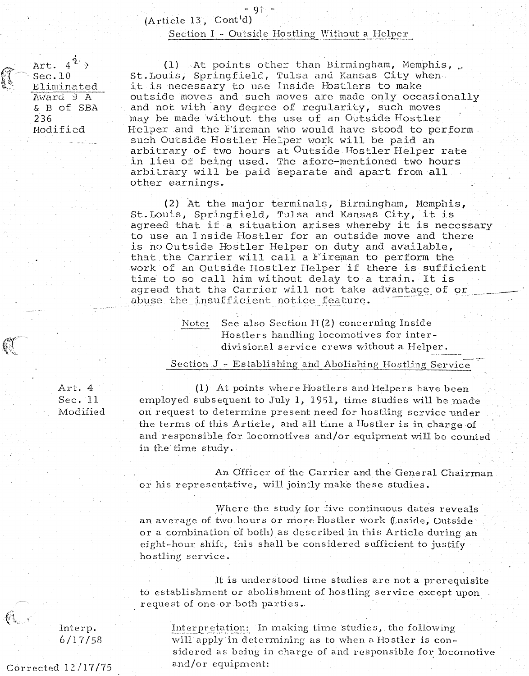#### Section I - Outside Hostling Without a Helper

Art.  $4\stackrel{\hat{q}}{\longrightarrow}$ Sec.lO Eliminated A\·iard *9* A & B of SBA 236 Hodified

(1) At points other than Birmingham, Memphis, St.Louis, Springfield, Tulsa and Kansas City when it is necessary to use Inside Hostlers to make outside moves and such moves are made only occasionally and not with any degree of regularity, such moves may be made without the use of an Outside Hostler Helper and the Fireman who would have stood to perform . such Outside Hostler Helper work will be paid an arbitrary of two hours at Outside Hostler Helper rate in lieu of being used. The afore-mentioned two hours arbitrary will be paid separate and apart from all other earnings.

(2) At the major terminals, Birmingham, Hemphis, St.Louis, Springfield, Tulsa and Kansas City, it is agreed that if a situation arises whereby it is necessary to use an Inside Hostler for an outside move and there is no Outside Hostler Helper on duty and available, that the Carrier will call a Fireman to perform the work of an Qutside Hostler Helper if there is sufficient time to so call him without delay to a train. It is agreed that the Carrier will not take advantage of ore abuse the insufficient notice feature.

> Note: See also Section H(2) concerning Inside Hostlers handling locomotives for interdivisional service crews without a Helper.

Section J - Establishing and Abolishing Hostling Service

Art. <sup>4</sup> Sec. 11 Modified

(1) At points where Hostlers and Helpers have been employed subsequent to July 1, 1951, time studies will be made on request to determine present need for hostling service under the terms of this Article, and all time a Hostler is in charge of and responsible for locomotives and/or equipment will be counted in the time study.

An Officer of the Carrier and the General Chairman or his representative, will jointly make these studies.

Where the study for five continuous dates reveals an average of two hours or more Hostler work (Inside, Outside or a combination of both) as described in this Article during an eight-hour shift, this shall be considered sufficient to justify hostling service.

It is understood time studies are not a prerequisite to cstablishnrent or abolishment of hostling service except upon request of one or both parties.

Interpretation: In making time studies, the following will apply in determining as to when a Hostler is considered as being in charge of and responsible for locomotive and/or equipment:

Interp. 6/17/58

Corrected 12/17/75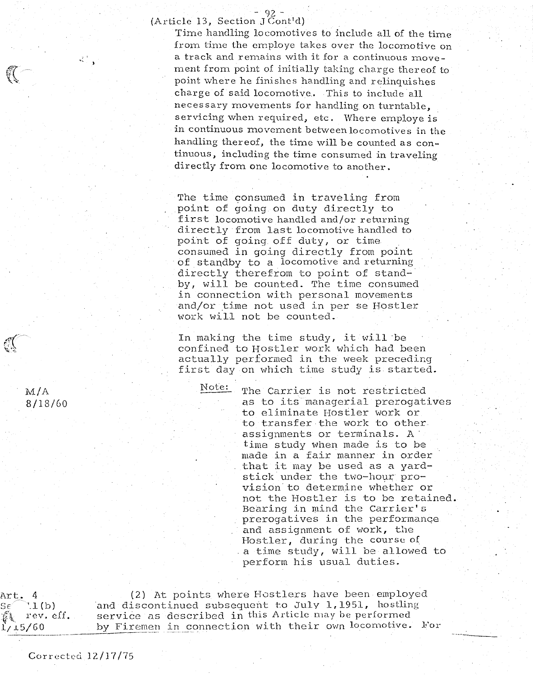(Article 13, Section  $J\overline{C}$ ont'd)

Time handling locomotives to include all of the time from time the employe takes over the locomotive on a track and remains with it for a continuous movement from point of initially taking charge thereof to point where he finishes handling and relinquishes charge of said locomotive.. This to include all necessary movements for handling on turntable, servicing when required, etc. Where employe is in continuous movement between locomotives in the handling thereof, the time will be counted as continuous, including the time consumed in traveling directly from one locomotive to another.

The time consumed in traveling from point of going on duty directly to first locomotive handled and/or returning directly from last locomotive handled to poirit of going off duty, or time consumed in going directly from point of standby to a locomotive and returning directly therefrom to point of standby, will be counted. The time consumed in connection with personal movements and/or time not used in per se Hostler work will not be counted.

In making the time study, it will be confined to Hostler work which had been actually performed in the week preceding first day on which time study is started.

Note: The Carrier is not restricted as to its managerial prerogatives to eliminate Hostler work or to transfer the work to other assignments or terminals. A time study when made is to be made in a fair manner in order that it may be used as a yardstick under the two-hour provision to determine whether or not the Hostler is to be retained. Bearing in mind the Carrier's prerogatives in the performanqe and assignment of work, the Hostler, during the course of a time study, will be allowed to perform his usual duties.

M/A 8/18/60

୍(

 $\mathcal{R}_{\rm{c}}^{(1)}$  .

 $\mathbb{C}$ 

\rt. 4 (2) At points where Hostlers have been employed<br>}{ if the land discontinued subsequent to July 1,1951, hostling  $S\in\left[ \begin{array}{ll} \gamma_{11} \ (\mathrm{b}) \qquad \quad \text{and} \ \text{discontinued} \ \text{subsequent to July 1,1951,} \ \text{hasling} \ \text{if} \ \text{true} \ \text{of} \ \text{in} \ \text{this Article may be performed} \ \end{array} \right]$ service as described in this Article may be performed  $l_{\ell}$ 15/60.  $\hskip1cm$  by Firemen in connection with their own locomotive. For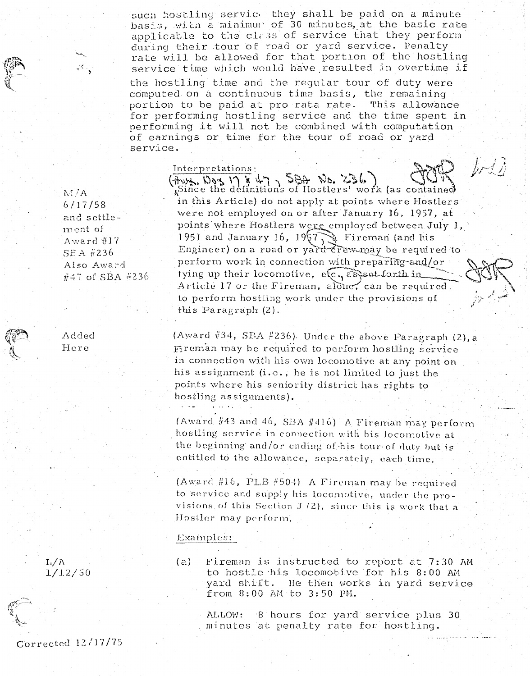such hostling service they shall be paid on a minute basis, with a minimur of 30 minutes, at the basic rate applicable to the class of service that they perform during their tour of road or yard service. Penalty rate will be allowed for that portion of the hostling service time which would have resulted in overtime if the hostling time and the regular tour of duty were computed on a continuous time basis, the remaining portion to be paid at pro rata rate. This allowance for performing hostling service and the time spent in performing it will not be combined with computation of earnings or time for the tour of road or yard service.

#### Interpretations:

 $M/A$  $6/17/58$ and settlement of Award #17  $SEA$  #236 Also Award  $\#47$  of SBA  $\#236$ 

 $\mathcal{L}_{\mathcal{A}}^{(1)}$ 

 $(\frac{1}{2})$   $\sqrt{236}$   $\sqrt{236}$   $\sqrt{36}$   $\sqrt{236}$   $\sqrt{236}$   $\sqrt{236}$   $\sqrt{236}$   $\sqrt{236}$   $\sqrt{236}$   $\sqrt{236}$   $\sqrt{236}$   $\sqrt{236}$   $\sqrt{236}$   $\sqrt{236}$   $\sqrt{236}$   $\sqrt{236}$   $\sqrt{236}$   $\sqrt{236}$   $\sqrt{236}$   $\sqrt{236}$   $\sqrt{236}$   $\$ in this Article) do not apply at points where Hostlers were not employed on or after January 16, 1957, at points where Hostlers were employed between July 1, 1951 and January 16,  $19\sqrt{7}$  Fireman (and his Engineer) on a road or yard crew may be required to perform work in connection with preparing-and/or tying up their locomotive,  $e(c, a)$ s and forth in Article 17 or the Fireman, alone, can be required. to perform hostling work under the provisions of this Paragraph (2).

 $\int \mathcal{F} \mathcal{L} \mathcal{L}$ 

(Award #34, SBA #236). Under the above Paragraph (2), a Fireman may be required to perform hostling service in connection with his own locomotive at any point on his assignment (i.e., he is not limited to just the points where his seniority district has rights to hostling assignments).

(Award #43 and 46, SBA #416) A Fireman may perform hostling service in connection with his locomotive at the beginning and/or ending of his tour of duty but is entitled to the allowance, separately, each time.

(Award #16, PLB #504) A Fireman may be required to service and supply his locomotive, under the provisions of this Section  $J(2)$ , since this is work that a Hostler may perform.

#### Examples:

Fireman is instructed to report at 7:30 AM  $(a)$ to hostle his locomotive for his 8:00 AM yard shift. He then works in yard service from 8:00 AM to 3:50 PM.

ALLOW: 8 hours for yard service plus 30 minutes at penalty rate for hostling.

Added Here

 $L/\Lambda$  $1/12/50$